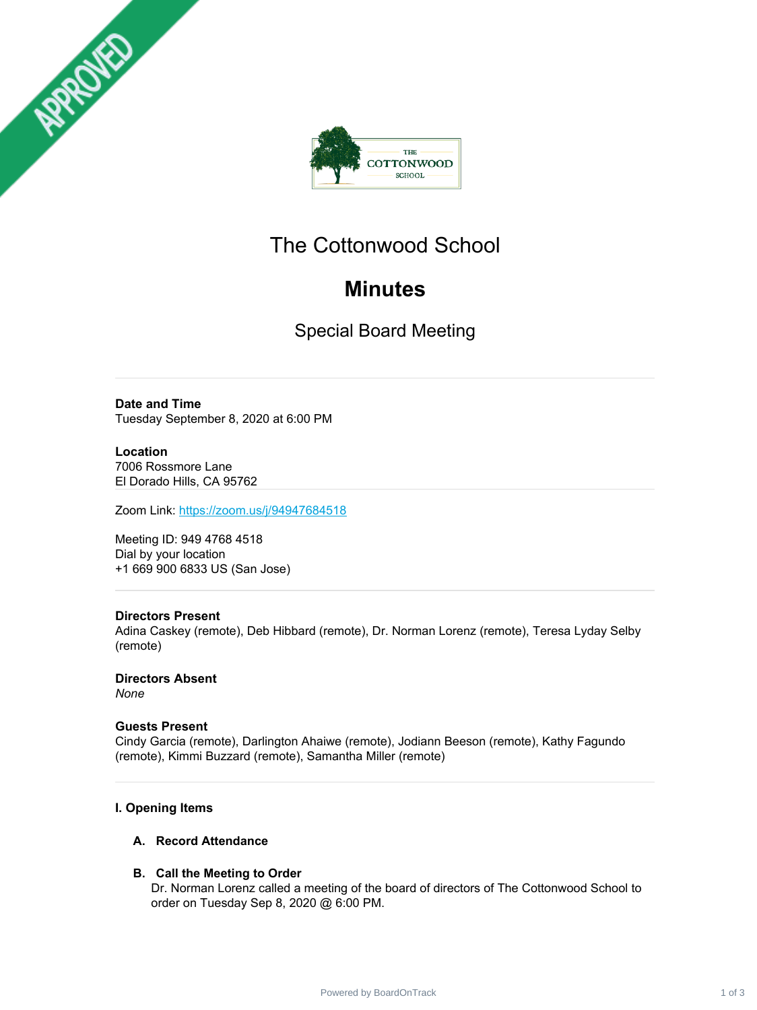

# The Cottonwood School

# **Minutes**

Special Board Meeting

**Date and Time** Tuesday September 8, 2020 at 6:00 PM

## **Location**

APPROVED

7006 Rossmore Lane El Dorado Hills, CA 95762

Zoom Link: <https://zoom.us/j/94947684518>

Meeting ID: 949 4768 4518 Dial by your location +1 669 900 6833 US (San Jose)

#### **Directors Present**

Adina Caskey (remote), Deb Hibbard (remote), Dr. Norman Lorenz (remote), Teresa Lyday Selby (remote)

**Directors Absent** *None*

#### **Guests Present**

Cindy Garcia (remote), Darlington Ahaiwe (remote), Jodiann Beeson (remote), Kathy Fagundo (remote), Kimmi Buzzard (remote), Samantha Miller (remote)

### **I. Opening Items**

#### **A. Record Attendance**

#### **B. Call the Meeting to Order**

Dr. Norman Lorenz called a meeting of the board of directors of The Cottonwood School to order on Tuesday Sep 8, 2020 @ 6:00 PM.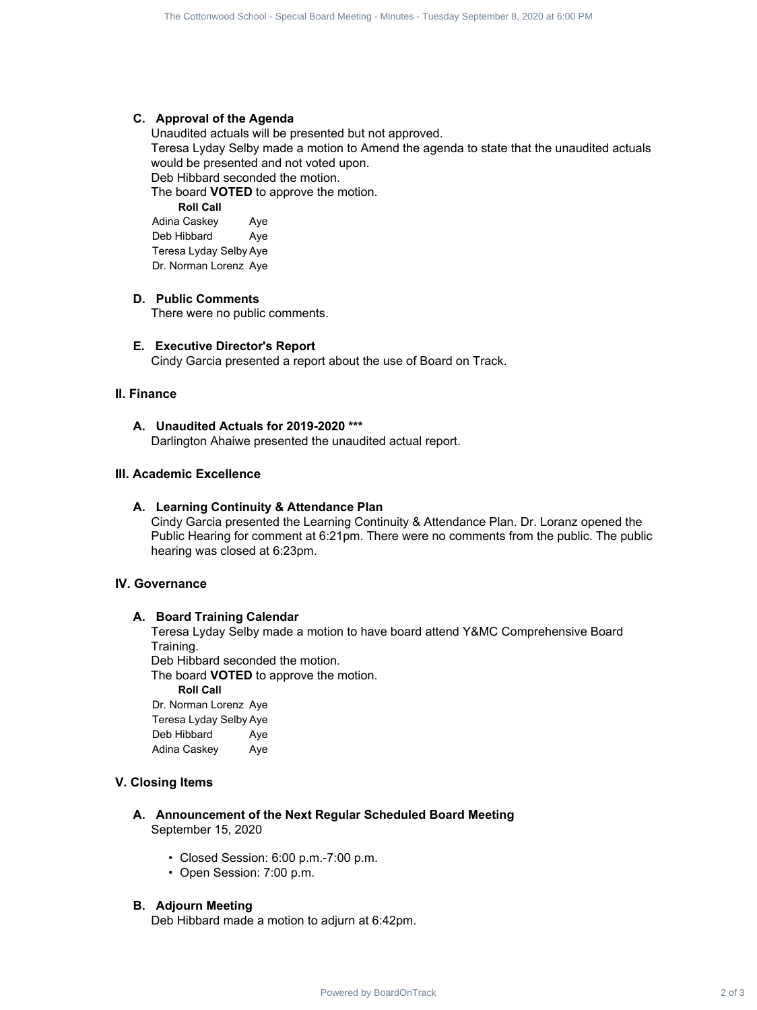#### **C. Approval of the Agenda**

Unaudited actuals will be presented but not approved. Teresa Lyday Selby made a motion to Amend the agenda to state that the unaudited actuals would be presented and not voted upon. Deb Hibbard seconded the motion. The Contents of the Agende Board Contents 2 of 3 The Contents of 3 The Contents of 3 The Contents of 3 The Contents of 3 The Contents of 3 The Contents of 3 The Contents of 3 The Contents of 3 The Contents of 3 The Content

The board **VOTED** to approve the motion.

**Roll Call** Adina Caskey Aye Deb Hibbard Aye Teresa Lyday Selby Aye Dr. Norman Lorenz Aye

#### **D. Public Comments**

There were no public comments.

#### **E. Executive Director's Report**

Cindy Garcia presented a report about the use of Board on Track.

#### **II. Finance**

#### **A. Unaudited Actuals for 2019-2020 \*\*\***

Darlington Ahaiwe presented the unaudited actual report.

#### **III. Academic Excellence**

#### **A. Learning Continuity & Attendance Plan**

Cindy Garcia presented the Learning Continuity & Attendance Plan. Dr. Loranz opened the Public Hearing for comment at 6:21pm. There were no comments from the public. The public hearing was closed at 6:23pm.

#### **IV. Governance**

#### **A. Board Training Calendar**

Teresa Lyday Selby made a motion to have board attend Y&MC Comprehensive Board Training.

Deb Hibbard seconded the motion.

The board **VOTED** to approve the motion.

**Roll Call**

Dr. Norman Lorenz Aye Teresa Lyday Selby Aye Deb Hibbard Aye Adina Caskey Aye

#### **V. Closing Items**

- **A. Announcement of the Next Regular Scheduled Board Meeting** September 15, 2020
	- Closed Session: 6:00 p.m.-7:00 p.m.
	- Open Session: 7:00 p.m.

#### **B. Adjourn Meeting**

Deb Hibbard made a motion to adjurn at 6:42pm.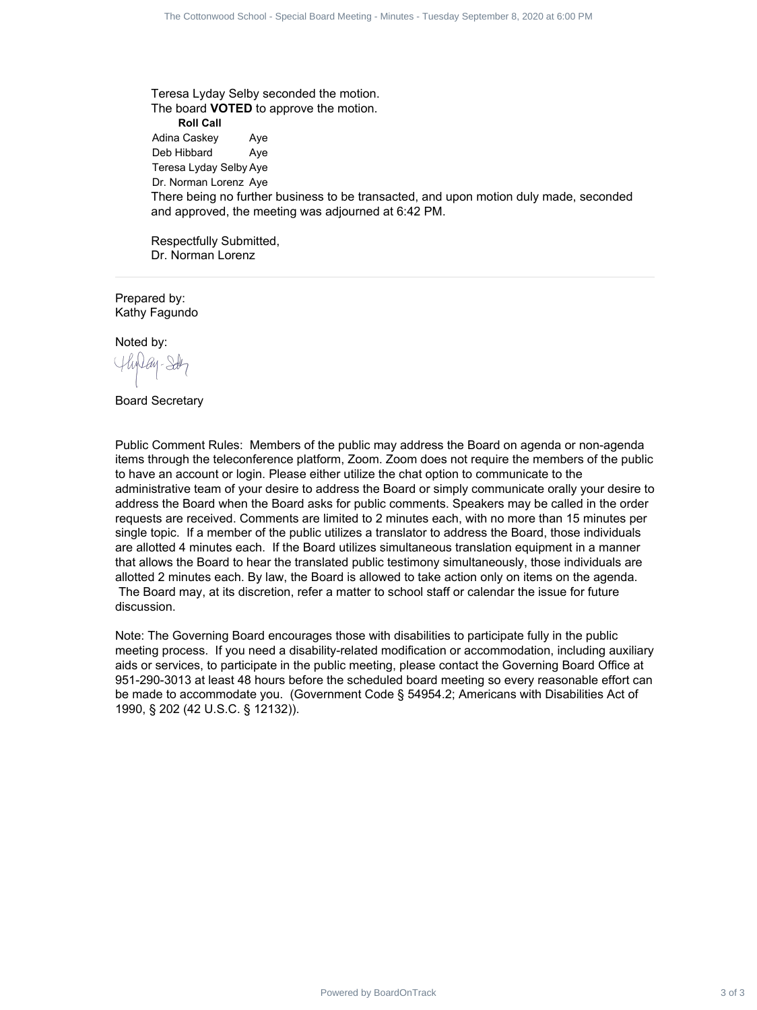Teresa Lyday Selby seconded the motion. The board **VOTED** to approve the motion. **Roll Call** Adina Caskey Aye Deb Hibbard Aye Teresa Lyday Selby Aye Dr. Norman Lorenz Aye There being no further business to be transacted, and upon motion duly made, seconded and approved, the meeting was adjourned at 6:42 PM.

Respectfully Submitted, Dr. Norman Lorenz

Prepared by: Kathy Fagundo

Noted by:

Board Secretary

Public Comment Rules: Members of the public may address the Board on agenda or non-agenda items through the teleconference platform, Zoom. Zoom does not require the members of the public to have an account or login. Please either utilize the chat option to communicate to the administrative team of your desire to address the Board or simply communicate orally your desire to address the Board when the Board asks for public comments. Speakers may be called in the order requests are received. Comments are limited to 2 minutes each, with no more than 15 minutes per single topic. If a member of the public utilizes a translator to address the Board, those individuals are allotted 4 minutes each. If the Board utilizes simultaneous translation equipment in a manner that allows the Board to hear the translated public testimony simultaneously, those individuals are allotted 2 minutes each. By law, the Board is allowed to take action only on items on the agenda. The Board may, at its discretion, refer a matter to school staff or calendar the issue for future discussion. Profiles the state stand than being a stress. These is factors in the Cottonwood School - Special Board Contract 3 of 3 The Contract 3 of 3 The Contract 3 of 3 The Contract 3 of 3 The Contract 3 of 3 The Contract 3 of 3 Th

Note: The Governing Board encourages those with disabilities to participate fully in the public meeting process. If you need a disability-related modification or accommodation, including auxiliary aids or services, to participate in the public meeting, please contact the Governing Board Office at 951-290-3013 at least 48 hours before the scheduled board meeting so every reasonable effort can be made to accommodate you. (Government Code § 54954.2; Americans with Disabilities Act of 1990, § 202 (42 U.S.C. § 12132)).